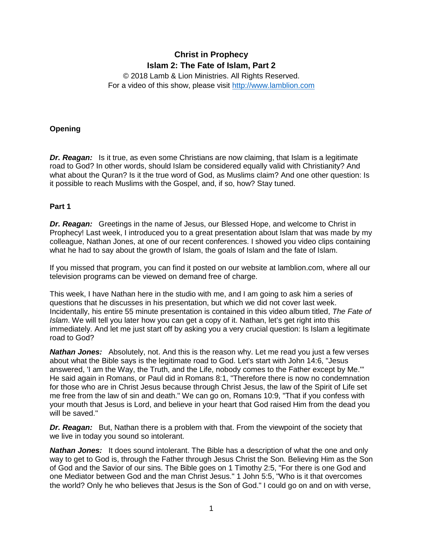# **Christ in Prophecy Islam 2: The Fate of Islam, Part 2**

© 2018 Lamb & Lion Ministries. All Rights Reserved. For a video of this show, please visit [http://www.lamblion.com](http://www.lamblion.com/)

# **Opening**

*Dr. Reagan:* Is it true, as even some Christians are now claiming, that Islam is a legitimate road to God? In other words, should Islam be considered equally valid with Christianity? And what about the Quran? Is it the true word of God, as Muslims claim? And one other question: Is it possible to reach Muslims with the Gospel, and, if so, how? Stay tuned.

## **Part 1**

*Dr. Reagan:* Greetings in the name of Jesus, our Blessed Hope, and welcome to Christ in Prophecy! Last week, I introduced you to a great presentation about Islam that was made by my colleague, Nathan Jones, at one of our recent conferences. I showed you video clips containing what he had to say about the growth of Islam, the goals of Islam and the fate of Islam.

If you missed that program, you can find it posted on our website at lamblion.com, where all our television programs can be viewed on demand free of charge.

This week, I have Nathan here in the studio with me, and I am going to ask him a series of questions that he discusses in his presentation, but which we did not cover last week. Incidentally, his entire 55 minute presentation is contained in this video album titled, *The Fate of Islam*. We will tell you later how you can get a copy of it. Nathan, let's get right into this immediately. And let me just start off by asking you a very crucial question: Is Islam a legitimate road to God?

*Nathan Jones:* Absolutely, not. And this is the reason why. Let me read you just a few verses about what the Bible says is the legitimate road to God. Let's start with John 14:6, "Jesus answered, 'I am the Way, the Truth, and the Life, nobody comes to the Father except by Me.'" He said again in Romans, or Paul did in Romans 8:1, "Therefore there is now no condemnation for those who are in Christ Jesus because through Christ Jesus, the law of the Spirit of Life set me free from the law of sin and death." We can go on, Romans 10:9, "That if you confess with your mouth that Jesus is Lord, and believe in your heart that God raised Him from the dead you will be saved."

**Dr. Reagan:** But, Nathan there is a problem with that. From the viewpoint of the society that we live in today you sound so intolerant.

*Nathan Jones:* It does sound intolerant. The Bible has a description of what the one and only way to get to God is, through the Father through Jesus Christ the Son. Believing Him as the Son of God and the Savior of our sins. The Bible goes on 1 Timothy 2:5, "For there is one God and one Mediator between God and the man Christ Jesus." 1 John 5:5, "Who is it that overcomes the world? Only he who believes that Jesus is the Son of God." I could go on and on with verse,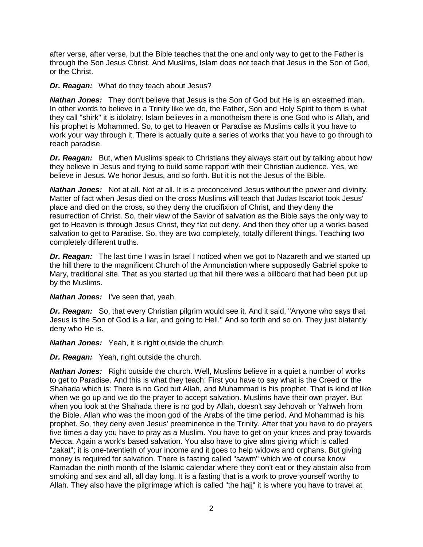after verse, after verse, but the Bible teaches that the one and only way to get to the Father is through the Son Jesus Christ. And Muslims, Islam does not teach that Jesus in the Son of God, or the Christ.

#### **Dr. Reagan:** What do they teach about Jesus?

*Nathan Jones:* They don't believe that Jesus is the Son of God but He is an esteemed man. In other words to believe in a Trinity like we do, the Father, Son and Holy Spirit to them is what they call "shirk" it is idolatry. Islam believes in a monotheism there is one God who is Allah, and his prophet is Mohammed. So, to get to Heaven or Paradise as Muslims calls it you have to work your way through it. There is actually quite a series of works that you have to go through to reach paradise.

*Dr. Reagan:* But, when Muslims speak to Christians they always start out by talking about how they believe in Jesus and trying to build some rapport with their Christian audience. Yes, we believe in Jesus. We honor Jesus, and so forth. But it is not the Jesus of the Bible.

*Nathan Jones:* Not at all. Not at all. It is a preconceived Jesus without the power and divinity. Matter of fact when Jesus died on the cross Muslims will teach that Judas Iscariot took Jesus' place and died on the cross, so they deny the crucifixion of Christ, and they deny the resurrection of Christ. So, their view of the Savior of salvation as the Bible says the only way to get to Heaven is through Jesus Christ, they flat out deny. And then they offer up a works based salvation to get to Paradise. So, they are two completely, totally different things. Teaching two completely different truths.

**Dr. Reagan:** The last time I was in Israel I noticed when we got to Nazareth and we started up the hill there to the magnificent Church of the Annunciation where supposedly Gabriel spoke to Mary, traditional site. That as you started up that hill there was a billboard that had been put up by the Muslims.

*Nathan Jones:* I've seen that, yeah.

*Dr. Reagan:* So, that every Christian pilgrim would see it. And it said, "Anyone who says that Jesus is the Son of God is a liar, and going to Hell." And so forth and so on. They just blatantly deny who He is.

*Nathan Jones:* Yeah, it is right outside the church.

*Dr. Reagan:* Yeah, right outside the church.

**Nathan Jones:** Right outside the church. Well, Muslims believe in a quiet a number of works to get to Paradise. And this is what they teach: First you have to say what is the Creed or the Shahada which is: There is no God but Allah, and Muhammad is his prophet. That is kind of like when we go up and we do the prayer to accept salvation. Muslims have their own prayer. But when you look at the Shahada there is no god by Allah, doesn't say Jehovah or Yahweh from the Bible. Allah who was the moon god of the Arabs of the time period. And Mohammad is his prophet. So, they deny even Jesus' preeminence in the Trinity. After that you have to do prayers five times a day you have to pray as a Muslim. You have to get on your knees and pray towards Mecca. Again a work's based salvation. You also have to give alms giving which is called "zakat"; it is one-twentieth of your income and it goes to help widows and orphans. But giving money is required for salvation. There is fasting called "sawm" which we of course know Ramadan the ninth month of the Islamic calendar where they don't eat or they abstain also from smoking and sex and all, all day long. It is a fasting that is a work to prove yourself worthy to Allah. They also have the pilgrimage which is called "the hajj" it is where you have to travel at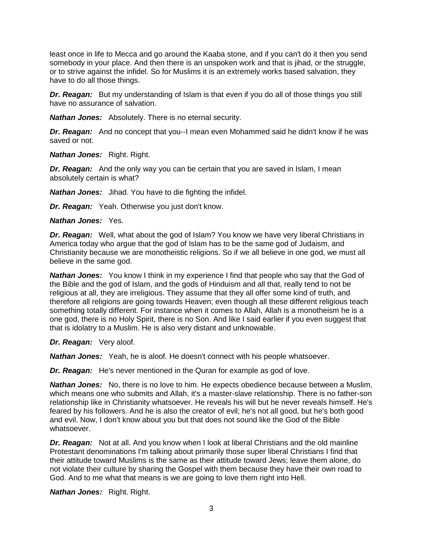least once in life to Mecca and go around the Kaaba stone, and if you can't do it then you send somebody in your place. And then there is an unspoken work and that is jihad, or the struggle, or to strive against the infidel. So for Muslims it is an extremely works based salvation, they have to do all those things.

**Dr. Reagan:** But my understanding of Islam is that even if you do all of those things you still have no assurance of salvation.

*Nathan Jones:* Absolutely. There is no eternal security.

*Dr. Reagan:* And no concept that you--I mean even Mohammed said he didn't know if he was saved or not.

*Nathan Jones:* Right. Right.

*Dr. Reagan:* And the only way you can be certain that you are saved in Islam, I mean absolutely certain is what?

*Nathan Jones:* Jihad. You have to die fighting the infidel.

*Dr. Reagan:* Yeah. Otherwise you just don't know.

*Nathan Jones:* Yes.

*Dr. Reagan:* Well, what about the god of Islam? You know we have very liberal Christians in America today who argue that the god of Islam has to be the same god of Judaism, and Christianity because we are monotheistic religions. So if we all believe in one god, we must all believe in the same god.

**Nathan Jones:** You know I think in my experience I find that people who say that the God of the Bible and the god of Islam, and the gods of Hinduism and all that, really tend to not be religious at all, they are irreligious. They assume that they all offer some kind of truth, and therefore all religions are going towards Heaven; even though all these different religious teach something totally different. For instance when it comes to Allah, Allah is a monotheism he is a one god, there is no Holy Spirit, there is no Son. And like I said earlier if you even suggest that that is idolatry to a Muslim. He is also very distant and unknowable.

*Dr. Reagan:* Very aloof.

*Nathan Jones:* Yeah, he is aloof. He doesn't connect with his people whatsoever.

*Dr. Reagan:* He's never mentioned in the Quran for example as god of love.

*Nathan Jones:* No, there is no love to him. He expects obedience because between a Muslim, which means one who submits and Allah, it's a master-slave relationship. There is no father-son relationship like in Christianity whatsoever. He reveals his will but he never reveals himself. He's feared by his followers. And he is also the creator of evil; he's not all good, but he's both good and evil. Now, I don't know about you but that does not sound like the God of the Bible whatsoever.

*Dr. Reagan:* Not at all. And you know when I look at liberal Christians and the old mainline Protestant denominations I'm talking about primarily those super liberal Christians I find that their attitude toward Muslims is the same as their attitude toward Jews; leave them alone, do not violate their culture by sharing the Gospel with them because they have their own road to God. And to me what that means is we are going to love them right into Hell.

*Nathan Jones:* Right. Right.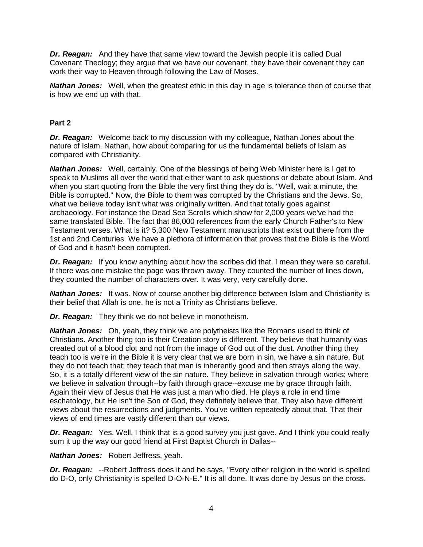*Dr. Reagan:* And they have that same view toward the Jewish people it is called Dual Covenant Theology; they argue that we have our covenant, they have their covenant they can work their way to Heaven through following the Law of Moses.

*Nathan Jones:* Well, when the greatest ethic in this day in age is tolerance then of course that is how we end up with that.

## **Part 2**

*Dr. Reagan:* Welcome back to my discussion with my colleague, Nathan Jones about the nature of Islam. Nathan, how about comparing for us the fundamental beliefs of Islam as compared with Christianity.

*Nathan Jones:* Well, certainly. One of the blessings of being Web Minister here is I get to speak to Muslims all over the world that either want to ask questions or debate about Islam. And when you start quoting from the Bible the very first thing they do is, "Well, wait a minute, the Bible is corrupted." Now, the Bible to them was corrupted by the Christians and the Jews. So, what we believe today isn't what was originally written. And that totally goes against archaeology. For instance the Dead Sea Scrolls which show for 2,000 years we've had the same translated Bible. The fact that 86,000 references from the early Church Father's to New Testament verses. What is it? 5,300 New Testament manuscripts that exist out there from the 1st and 2nd Centuries. We have a plethora of information that proves that the Bible is the Word of God and it hasn't been corrupted.

*Dr. Reagan:* If you know anything about how the scribes did that. I mean they were so careful. If there was one mistake the page was thrown away. They counted the number of lines down, they counted the number of characters over. It was very, very carefully done.

**Nathan Jones:** It was. Now of course another big difference between Islam and Christianity is their belief that Allah is one, he is not a Trinity as Christians believe.

*Dr. Reagan:* They think we do not believe in monotheism.

*Nathan Jones:* Oh, yeah, they think we are polytheists like the Romans used to think of Christians. Another thing too is their Creation story is different. They believe that humanity was created out of a blood clot and not from the image of God out of the dust. Another thing they teach too is we're in the Bible it is very clear that we are born in sin, we have a sin nature. But they do not teach that; they teach that man is inherently good and then strays along the way. So, it is a totally different view of the sin nature. They believe in salvation through works; where we believe in salvation through--by faith through grace--excuse me by grace through faith. Again their view of Jesus that He was just a man who died. He plays a role in end time eschatology, but He isn't the Son of God, they definitely believe that. They also have different views about the resurrections and judgments. You've written repeatedly about that. That their views of end times are vastly different than our views.

**Dr. Reagan:** Yes. Well, I think that is a good survey you just gave. And I think you could really sum it up the way our good friend at First Baptist Church in Dallas--

*Nathan Jones:* Robert Jeffress, yeah.

**Dr. Reagan:** --Robert Jeffress does it and he says, "Every other religion in the world is spelled do D-O, only Christianity is spelled D-O-N-E." It is all done. It was done by Jesus on the cross.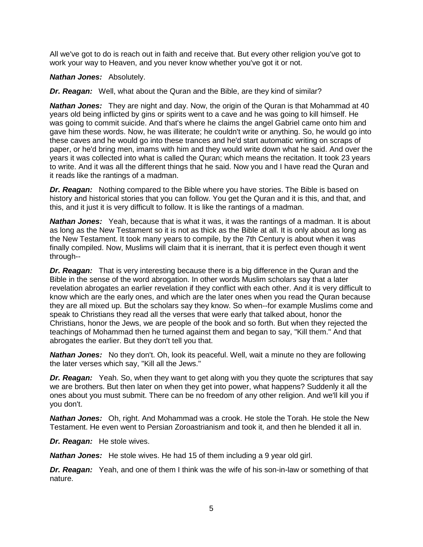All we've got to do is reach out in faith and receive that. But every other religion you've got to work your way to Heaven, and you never know whether you've got it or not.

#### *Nathan Jones:* Absolutely.

*Dr. Reagan:* Well, what about the Quran and the Bible, are they kind of similar?

*Nathan Jones:* They are night and day. Now, the origin of the Quran is that Mohammad at 40 years old being inflicted by gins or spirits went to a cave and he was going to kill himself. He was going to commit suicide. And that's where he claims the angel Gabriel came onto him and gave him these words. Now, he was illiterate; he couldn't write or anything. So, he would go into these caves and he would go into these trances and he'd start automatic writing on scraps of paper, or he'd bring men, imams with him and they would write down what he said. And over the years it was collected into what is called the Quran; which means the recitation. It took 23 years to write. And it was all the different things that he said. Now you and I have read the Quran and it reads like the rantings of a madman.

*Dr. Reagan:* Nothing compared to the Bible where you have stories. The Bible is based on history and historical stories that you can follow. You get the Quran and it is this, and that, and this, and it just it is very difficult to follow. It is like the rantings of a madman.

*Nathan Jones:* Yeah, because that is what it was, it was the rantings of a madman. It is about as long as the New Testament so it is not as thick as the Bible at all. It is only about as long as the New Testament. It took many years to compile, by the 7th Century is about when it was finally compiled. Now, Muslims will claim that it is inerrant, that it is perfect even though it went through--

*Dr. Reagan:* That is very interesting because there is a big difference in the Quran and the Bible in the sense of the word abrogation. In other words Muslim scholars say that a later revelation abrogates an earlier revelation if they conflict with each other. And it is very difficult to know which are the early ones, and which are the later ones when you read the Quran because they are all mixed up. But the scholars say they know. So when--for example Muslims come and speak to Christians they read all the verses that were early that talked about, honor the Christians, honor the Jews, we are people of the book and so forth. But when they rejected the teachings of Mohammad then he turned against them and began to say, "Kill them." And that abrogates the earlier. But they don't tell you that.

*Nathan Jones:* No they don't. Oh, look its peaceful. Well, wait a minute no they are following the later verses which say, "Kill all the Jews."

**Dr. Reagan:** Yeah. So, when they want to get along with you they quote the scriptures that say we are brothers. But then later on when they get into power, what happens? Suddenly it all the ones about you must submit. There can be no freedom of any other religion. And we'll kill you if you don't.

*Nathan Jones:* Oh, right. And Mohammad was a crook. He stole the Torah. He stole the New Testament. He even went to Persian Zoroastrianism and took it, and then he blended it all in.

*Dr. Reagan:* He stole wives.

*Nathan Jones:* He stole wives. He had 15 of them including a 9 year old girl.

*Dr. Reagan:* Yeah, and one of them I think was the wife of his son-in-law or something of that nature.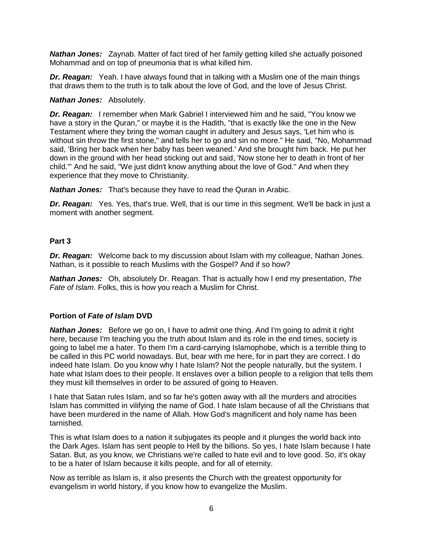*Nathan Jones:* Zaynab. Matter of fact tired of her family getting killed she actually poisoned Mohammad and on top of pneumonia that is what killed him.

*Dr. Reagan:* Yeah. I have always found that in talking with a Muslim one of the main things that draws them to the truth is to talk about the love of God, and the love of Jesus Christ.

#### *Nathan Jones:* Absolutely.

*Dr. Reagan:* I remember when Mark Gabriel I interviewed him and he said, "You know we have a story in the Quran," or maybe it is the Hadith, "that is exactly like the one in the New Testament where they bring the woman caught in adultery and Jesus says, 'Let him who is without sin throw the first stone," and tells her to go and sin no more." He said, "No, Mohammad said, 'Bring her back when her baby has been weaned.' And she brought him back. He put her down in the ground with her head sticking out and said, 'Now stone her to death in front of her child.'" And he said, "We just didn't know anything about the love of God." And when they experience that they move to Christianity.

*Nathan Jones:* That's because they have to read the Quran in Arabic.

*Dr. Reagan:* Yes. Yes, that's true. Well, that is our time in this segment. We'll be back in just a moment with another segment.

## **Part 3**

*Dr. Reagan:* Welcome back to my discussion about Islam with my colleague, Nathan Jones. Nathan, is it possible to reach Muslims with the Gospel? And if so how?

*Nathan Jones:* Oh, absolutely Dr. Reagan. That is actually how I end my presentation, *The Fate of Islam*. Folks, this is how you reach a Muslim for Christ.

# **Portion of** *Fate of Islam* **DVD**

*Nathan Jones:* Before we go on, I have to admit one thing. And I'm going to admit it right here, because I'm teaching you the truth about Islam and its role in the end times, society is going to label me a hater. To them I'm a card-carrying Islamophobe, which is a terrible thing to be called in this PC world nowadays. But, bear with me here, for in part they are correct. I do indeed hate Islam. Do you know why I hate Islam? Not the people naturally, but the system. I hate what Islam does to their people. It enslaves over a billion people to a religion that tells them they must kill themselves in order to be assured of going to Heaven.

I hate that Satan rules Islam, and so far he's gotten away with all the murders and atrocities Islam has committed in vilifying the name of God. I hate Islam because of all the Christians that have been murdered in the name of Allah. How God's magnificent and holy name has been tarnished.

This is what Islam does to a nation it subjugates its people and it plunges the world back into the Dark Ages. Islam has sent people to Hell by the billions. So yes, I hate Islam because I hate Satan. But, as you know, we Christians we're called to hate evil and to love good. So, it's okay to be a hater of Islam because it kills people, and for all of eternity.

Now as terrible as Islam is, it also presents the Church with the greatest opportunity for evangelism in world history, if you know how to evangelize the Muslim.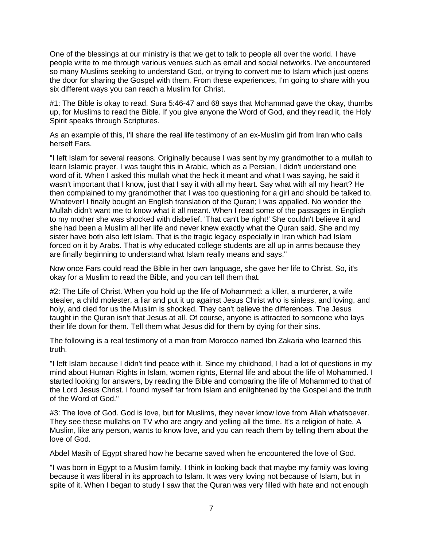One of the blessings at our ministry is that we get to talk to people all over the world. I have people write to me through various venues such as email and social networks. I've encountered so many Muslims seeking to understand God, or trying to convert me to Islam which just opens the door for sharing the Gospel with them. From these experiences, I'm going to share with you six different ways you can reach a Muslim for Christ.

#1: The Bible is okay to read. Sura 5:46-47 and 68 says that Mohammad gave the okay, thumbs up, for Muslims to read the Bible. If you give anyone the Word of God, and they read it, the Holy Spirit speaks through Scriptures.

As an example of this, I'll share the real life testimony of an ex-Muslim girl from Iran who calls herself Fars.

"I left Islam for several reasons. Originally because I was sent by my grandmother to a mullah to learn Islamic prayer. I was taught this in Arabic, which as a Persian, I didn't understand one word of it. When I asked this mullah what the heck it meant and what I was saying, he said it wasn't important that I know, just that I say it with all my heart. Say what with all my heart? He then complained to my grandmother that I was too questioning for a girl and should be talked to. Whatever! I finally bought an English translation of the Quran; I was appalled. No wonder the Mullah didn't want me to know what it all meant. When I read some of the passages in English to my mother she was shocked with disbelief. 'That can't be right!' She couldn't believe it and she had been a Muslim all her life and never knew exactly what the Quran said. She and my sister have both also left Islam. That is the tragic legacy especially in Iran which had Islam forced on it by Arabs. That is why educated college students are all up in arms because they are finally beginning to understand what Islam really means and says."

Now once Fars could read the Bible in her own language, she gave her life to Christ. So, it's okay for a Muslim to read the Bible, and you can tell them that.

#2: The Life of Christ. When you hold up the life of Mohammed: a killer, a murderer, a wife stealer, a child molester, a liar and put it up against Jesus Christ who is sinless, and loving, and holy, and died for us the Muslim is shocked. They can't believe the differences. The Jesus taught in the Quran isn't that Jesus at all. Of course, anyone is attracted to someone who lays their life down for them. Tell them what Jesus did for them by dying for their sins.

The following is a real testimony of a man from Morocco named Ibn Zakaria who learned this truth.

"I left Islam because I didn't find peace with it. Since my childhood, I had a lot of questions in my mind about Human Rights in Islam, women rights, Eternal life and about the life of Mohammed. I started looking for answers, by reading the Bible and comparing the life of Mohammed to that of the Lord Jesus Christ. I found myself far from Islam and enlightened by the Gospel and the truth of the Word of God."

#3: The love of God. God is love, but for Muslims, they never know love from Allah whatsoever. They see these mullahs on TV who are angry and yelling all the time. It's a religion of hate. A Muslim, like any person, wants to know love, and you can reach them by telling them about the love of God.

Abdel Masih of Egypt shared how he became saved when he encountered the love of God.

"I was born in Egypt to a Muslim family. I think in looking back that maybe my family was loving because it was liberal in its approach to Islam. It was very loving not because of Islam, but in spite of it. When I began to study I saw that the Quran was very filled with hate and not enough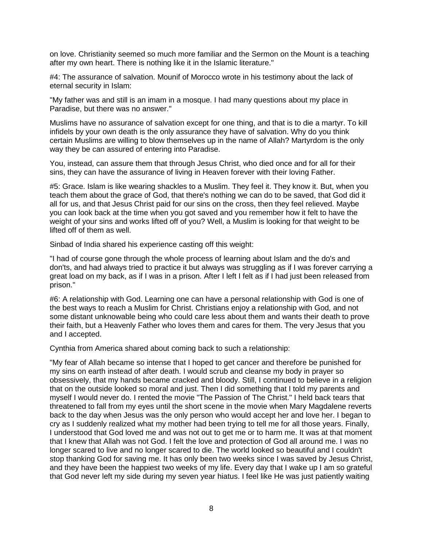on love. Christianity seemed so much more familiar and the Sermon on the Mount is a teaching after my own heart. There is nothing like it in the Islamic literature."

#4: The assurance of salvation. Mounif of Morocco wrote in his testimony about the lack of eternal security in Islam:

"My father was and still is an imam in a mosque. I had many questions about my place in Paradise, but there was no answer."

Muslims have no assurance of salvation except for one thing, and that is to die a martyr. To kill infidels by your own death is the only assurance they have of salvation. Why do you think certain Muslims are willing to blow themselves up in the name of Allah? Martyrdom is the only way they be can assured of entering into Paradise.

You, instead, can assure them that through Jesus Christ, who died once and for all for their sins, they can have the assurance of living in Heaven forever with their loving Father.

#5: Grace. Islam is like wearing shackles to a Muslim. They feel it. They know it. But, when you teach them about the grace of God, that there's nothing we can do to be saved, that God did it all for us, and that Jesus Christ paid for our sins on the cross, then they feel relieved. Maybe you can look back at the time when you got saved and you remember how it felt to have the weight of your sins and works lifted off of you? Well, a Muslim is looking for that weight to be lifted off of them as well.

Sinbad of India shared his experience casting off this weight:

"I had of course gone through the whole process of learning about Islam and the do's and don'ts, and had always tried to practice it but always was struggling as if I was forever carrying a great load on my back, as if I was in a prison. After I left I felt as if I had just been released from prison."

#6: A relationship with God. Learning one can have a personal relationship with God is one of the best ways to reach a Muslim for Christ. Christians enjoy a relationship with God, and not some distant unknowable being who could care less about them and wants their death to prove their faith, but a Heavenly Father who loves them and cares for them. The very Jesus that you and I accepted.

Cynthia from America shared about coming back to such a relationship:

"My fear of Allah became so intense that I hoped to get cancer and therefore be punished for my sins on earth instead of after death. I would scrub and cleanse my body in prayer so obsessively, that my hands became cracked and bloody. Still, I continued to believe in a religion that on the outside looked so moral and just. Then I did something that I told my parents and myself I would never do. I rented the movie "The Passion of The Christ." I held back tears that threatened to fall from my eyes until the short scene in the movie when Mary Magdalene reverts back to the day when Jesus was the only person who would accept her and love her. I began to cry as I suddenly realized what my mother had been trying to tell me for all those years. Finally, I understood that God loved me and was not out to get me or to harm me. It was at that moment that I knew that Allah was not God. I felt the love and protection of God all around me. I was no longer scared to live and no longer scared to die. The world looked so beautiful and I couldn't stop thanking God for saving me. It has only been two weeks since I was saved by Jesus Christ, and they have been the happiest two weeks of my life. Every day that I wake up I am so grateful that God never left my side during my seven year hiatus. I feel like He was just patiently waiting